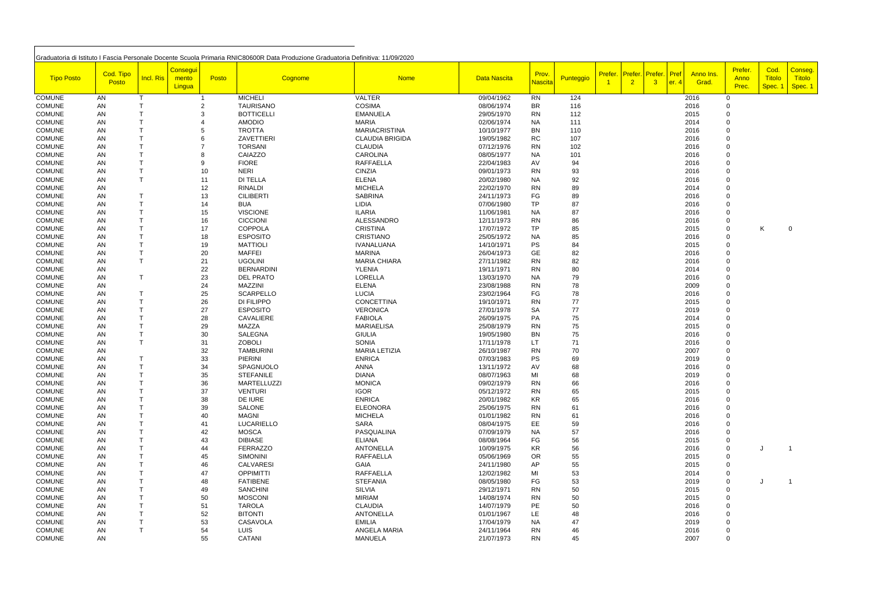|                   |           |           |                         |       | Graduatoria di Istituto I Fascia Personale Docente Scuola Primaria RNIC80600R Data Produzione Graduatoria Definitiva: 11/09/2020 |                        |              |                |           |         |                |                 |      |           |                |         |                     |
|-------------------|-----------|-----------|-------------------------|-------|----------------------------------------------------------------------------------------------------------------------------------|------------------------|--------------|----------------|-----------|---------|----------------|-----------------|------|-----------|----------------|---------|---------------------|
|                   |           |           | <mark>/ Consegui</mark> |       |                                                                                                                                  |                        |              |                |           |         |                |                 |      |           | Prefer.        | Cod.    | Conseg.             |
| <b>Tipo Posto</b> | Cod. Tipo | Incl. Ris | mento                   | Posto | Cognome                                                                                                                          | <b>Nome</b>            | Data Nascita | Prov.          | Punteggio | Prefer. |                | Prefer. Prefer. | Pref | Anno Ins. | Anno           | Titolo  | <mark>Titolo</mark> |
|                   | Posto     |           | Lingua                  |       |                                                                                                                                  |                        |              | <b>Nascita</b> |           |         | 2 <sup>1</sup> | $\overline{3}$  | er.4 | Grad.     | Prec.          | Spec. 1 | Spec. 1             |
| <b>COMUNE</b>     | AN        |           |                         |       | <b>MICHELI</b>                                                                                                                   | <b>VALTER</b>          | 09/04/1962   | <b>RN</b>      | 124       |         |                |                 |      | 2016      | $\overline{0}$ |         |                     |
| <b>COMUNE</b>     | AN        |           |                         |       | <b>TAURISANO</b>                                                                                                                 | <b>COSIMA</b>          | 08/06/1974   | <b>BR</b>      | 116       |         |                |                 |      | 2016      |                |         |                     |
| <b>COMUNE</b>     | AN        |           |                         |       | <b>BOTTICELLI</b>                                                                                                                | <b>EMANUELA</b>        | 29/05/1970   | <b>RN</b>      | 112       |         |                |                 |      | 2015      |                |         |                     |
| <b>COMUNE</b>     | AN        |           |                         |       | <b>AMODIO</b>                                                                                                                    | <b>MARIA</b>           | 02/06/1974   | <b>NA</b>      | 111       |         |                |                 |      | 2014      |                |         |                     |
| <b>COMUNE</b>     | AN        |           |                         |       | <b>TROTTA</b>                                                                                                                    | <b>MARIACRISTINA</b>   | 10/10/1977   | <b>BN</b>      | 110       |         |                |                 |      | 2016      |                |         |                     |
| <b>COMUNE</b>     | AN        |           |                         |       | ZAVETTIERI                                                                                                                       | <b>CLAUDIA BRIGIDA</b> | 19/05/1982   | <b>RC</b>      | 107       |         |                |                 |      | 2016      | $\Omega$       |         |                     |
| <b>COMUNE</b>     | AN        |           |                         |       | <b>TORSANI</b>                                                                                                                   | <b>CLAUDIA</b>         | 07/12/1976   | <b>RN</b>      |           |         |                |                 |      | 2016      |                |         |                     |
|                   |           |           |                         |       |                                                                                                                                  | <b>CAROLINA</b>        |              |                | 102       |         |                |                 |      |           |                |         |                     |
| <b>COMUNE</b>     | AN        |           |                         |       | CAIAZZO                                                                                                                          |                        | 08/05/1977   | <b>NA</b>      | 101       |         |                |                 |      | 2016      |                |         |                     |
| <b>COMUNE</b>     | AN        |           |                         | 9     | <b>FIORE</b>                                                                                                                     | <b>RAFFAELLA</b>       | 22/04/1983   | AV             | 94        |         |                |                 |      | 2016      |                |         |                     |
| <b>COMUNE</b>     | AN        | $\top$    |                         | 10    | <b>NERI</b>                                                                                                                      | <b>CINZIA</b>          | 09/01/1973   | <b>RN</b>      | 93        |         |                |                 |      | 2016      |                |         |                     |
| <b>COMUNE</b>     | AN        |           |                         | 11    | <b>DI TELLA</b>                                                                                                                  | <b>ELENA</b>           | 20/02/1980   | <b>NA</b>      | 92        |         |                |                 |      | 2016      |                |         |                     |
| <b>COMUNE</b>     | AN        |           |                         | 12    | <b>RINALDI</b>                                                                                                                   | <b>MICHELA</b>         | 22/02/1970   | <b>RN</b>      | 89        |         |                |                 |      | 2014      |                |         |                     |
| <b>COMUNE</b>     | AN        |           |                         | 13    | <b>CILIBERTI</b>                                                                                                                 | <b>SABRINA</b>         | 24/11/1973   | FG             | 89        |         |                |                 |      | 2016      |                |         |                     |
| <b>COMUNE</b>     | AN        |           |                         | 14    | <b>BUA</b>                                                                                                                       | LIDIA                  | 07/06/1980   | <b>TP</b>      | 87        |         |                |                 |      | 2016      |                |         |                     |
| <b>COMUNE</b>     | AN        |           |                         | 15    | <b>VISCIONE</b>                                                                                                                  | <b>ILARIA</b>          | 11/06/1981   | <b>NA</b>      | 87        |         |                |                 |      | 2016      |                |         |                     |
| <b>COMUNE</b>     | AN        |           |                         | 16    | <b>CICCIONI</b>                                                                                                                  | ALESSANDRO             | 12/11/1973   | <b>RN</b>      | 86        |         |                |                 |      | 2016      |                |         |                     |
| <b>COMUNE</b>     | AN        |           |                         | 17    | <b>COPPOLA</b>                                                                                                                   | <b>CRISTINA</b>        | 17/07/1972   | <b>TP</b>      | 85        |         |                |                 |      | 2015      | 0              | K       | 0                   |
| <b>COMUNE</b>     | AN        |           |                         | 18    | <b>ESPOSITO</b>                                                                                                                  | <b>CRISTIANO</b>       | 25/05/1972   | <b>NA</b>      | 85        |         |                |                 |      | 2016      | $\mathbf 0$    |         |                     |
| <b>COMUNE</b>     | AN        |           |                         | 19    | <b>MATTIOLI</b>                                                                                                                  | <b>IVANALUANA</b>      | 14/10/1971   | <b>PS</b>      | 84        |         |                |                 |      | 2015      | $\Omega$       |         |                     |
| <b>COMUNE</b>     | AN        |           |                         | 20    | <b>MAFFEI</b>                                                                                                                    | <b>MARINA</b>          | 26/04/1973   | GE             | 82        |         |                |                 |      | 2016      |                |         |                     |
| <b>COMUNE</b>     | AN        |           |                         | 21    | <b>UGOLINI</b>                                                                                                                   | <b>MARIA CHIARA</b>    | 27/11/1982   | <b>RN</b>      | 82        |         |                |                 |      | 2016      | $\Omega$       |         |                     |
| <b>COMUNE</b>     | AN        |           |                         | 22    | <b>BERNARDINI</b>                                                                                                                | <b>YLENIA</b>          | 19/11/1971   | <b>RN</b>      | 80        |         |                |                 |      | 2014      |                |         |                     |
| <b>COMUNE</b>     | AN        |           |                         | 23    | <b>DEL PRATO</b>                                                                                                                 | <b>LORELLA</b>         | 13/03/1970   | <b>NA</b>      | 79        |         |                |                 |      | 2016      |                |         |                     |
| <b>COMUNE</b>     | AN        |           |                         | 24    | <b>MAZZINI</b>                                                                                                                   | <b>ELENA</b>           | 23/08/1988   | <b>RN</b>      | 78        |         |                |                 |      | 2009      |                |         |                     |
| <b>COMUNE</b>     | AN        |           |                         | 25    | <b>SCARPELLO</b>                                                                                                                 | <b>LUCIA</b>           | 23/02/1964   | FG             | 78        |         |                |                 |      | 2016      |                |         |                     |
| <b>COMUNE</b>     | AN        |           |                         | 26    | DI FILIPPO                                                                                                                       | <b>CONCETTINA</b>      | 19/10/1971   | <b>RN</b>      | 77        |         |                |                 |      | 2015      |                |         |                     |
| <b>COMUNE</b>     | AN        |           |                         | 27    | <b>ESPOSITO</b>                                                                                                                  | <b>VERONICA</b>        | 27/01/1978   | SA             | 77        |         |                |                 |      | 2019      |                |         |                     |
| <b>COMUNE</b>     | AN        |           |                         | 28    | <b>CAVALIERE</b>                                                                                                                 | <b>FABIOLA</b>         | 26/09/1975   | PA             | 75        |         |                |                 |      | 2014      |                |         |                     |
| <b>COMUNE</b>     | AN        |           |                         | 29    | <b>MAZZA</b>                                                                                                                     | <b>MARIAELISA</b>      | 25/08/1979   | <b>RN</b>      | 75        |         |                |                 |      | 2015      |                |         |                     |
| <b>COMUNE</b>     | AN        |           |                         | 30    | <b>SALEGNA</b>                                                                                                                   | <b>GIULIA</b>          | 19/05/1980   | <b>BN</b>      | 75        |         |                |                 |      | 2016      | $\Omega$       |         |                     |
| <b>COMUNE</b>     | AN        |           |                         | 31    | <b>ZOBOLI</b>                                                                                                                    | <b>SONIA</b>           | 17/11/1978   | <b>LT</b>      | 71        |         |                |                 |      | 2016      |                |         |                     |
| <b>COMUNE</b>     | AN        |           |                         | 32    | <b>TAMBURINI</b>                                                                                                                 | <b>MARIA LETIZIA</b>   | 26/10/1987   | <b>RN</b>      | 70        |         |                |                 |      | 2007      |                |         |                     |
| <b>COMUNE</b>     | AN        |           |                         | 33    | <b>PIERINI</b>                                                                                                                   | <b>ENRICA</b>          | 07/03/1983   | PS             | 69        |         |                |                 |      | 2019      |                |         |                     |
| <b>COMUNE</b>     | AN        |           |                         | 34    | SPAGNUOLO                                                                                                                        | ANNA                   | 13/11/1972   | AV             | 68        |         |                |                 |      | 2016      |                |         |                     |
| <b>COMUNE</b>     | AN        |           |                         | 35    | <b>STEFANILE</b>                                                                                                                 | <b>DIANA</b>           | 08/07/1963   | MI             | 68        |         |                |                 |      | 2019      |                |         |                     |
| <b>COMUNE</b>     | AN        |           |                         | 36    | <b>MARTELLUZZI</b>                                                                                                               | <b>MONICA</b>          | 09/02/1979   | <b>RN</b>      | 66        |         |                |                 |      | 2016      | $\Omega$       |         |                     |
| <b>COMUNE</b>     | AN        |           |                         | 37    | <b>VENTURI</b>                                                                                                                   | <b>IGOR</b>            | 05/12/1972   | <b>RN</b>      | 65        |         |                |                 |      | 2015      |                |         |                     |
| <b>COMUNE</b>     | AN        |           |                         | 38    | DE IURE                                                                                                                          | <b>ENRICA</b>          | 20/01/1982   | KR             | 65        |         |                |                 |      | 2016      |                |         |                     |
| <b>COMUNE</b>     | AN        |           |                         | 39    | SALONE                                                                                                                           | <b>ELEONORA</b>        | 25/06/1975   | <b>RN</b>      | 61        |         |                |                 |      | 2016      |                |         |                     |
| <b>COMUNE</b>     | AN        |           |                         | 40    | <b>MAGNI</b>                                                                                                                     | <b>MICHELA</b>         | 01/01/1982   | <b>RN</b>      | 61        |         |                |                 |      | 2016      |                |         |                     |
| <b>COMUNE</b>     | AN        |           |                         | 41    | LUCARIELLO                                                                                                                       | <b>SARA</b>            | 08/04/1975   | EE             | 59        |         |                |                 |      | 2016      |                |         |                     |
| <b>COMUNE</b>     | AN        |           |                         | 42    | <b>MOSCA</b>                                                                                                                     | PASQUALINA             | 07/09/1979   | <b>NA</b>      | 57        |         |                |                 |      | 2016      |                |         |                     |
| <b>COMUNE</b>     | AN        |           |                         | 43    | <b>DIBIASE</b>                                                                                                                   | <b>ELIANA</b>          | 08/08/1964   | FG             | 56        |         |                |                 |      | 2015      |                |         |                     |
| <b>COMUNE</b>     | AN        |           |                         | 44    | FERRAZZO                                                                                                                         | <b>ANTONELLA</b>       | 10/09/1975   | KR             | 56        |         |                |                 |      | 2016      |                |         |                     |
| <b>COMUNE</b>     | AN        |           |                         | 45    | <b>SIMONINI</b>                                                                                                                  | <b>RAFFAELLA</b>       | 05/06/1969   | OR             | 55        |         |                |                 |      | 2015      |                |         |                     |
| <b>COMUNE</b>     | AN        |           |                         | 46    | <b>CALVARESI</b>                                                                                                                 | <b>GAIA</b>            | 24/11/1980   | AP             | 55        |         |                |                 |      | 2015      |                |         |                     |
| <b>COMUNE</b>     | AN        |           |                         | 47    | <b>OPPIMITTI</b>                                                                                                                 | <b>RAFFAELLA</b>       | 12/02/1982   | MI             | 53        |         |                |                 |      | 2014      |                |         |                     |
| <b>COMUNE</b>     | AN        |           |                         | 48    | <b>FATIBENE</b>                                                                                                                  | <b>STEFANIA</b>        | 08/05/1980   | FG             | 53        |         |                |                 |      | 2019      |                |         |                     |
| <b>COMUNE</b>     | AN        |           |                         | 49    | <b>SANCHINI</b>                                                                                                                  | <b>SILVIA</b>          | 29/12/1971   | <b>RN</b>      | 50        |         |                |                 |      | 2015      |                |         |                     |
| <b>COMUNE</b>     | AN        |           |                         | 50    | <b>MOSCONI</b>                                                                                                                   | <b>MIRIAM</b>          | 14/08/1974   | <b>RN</b>      | 50        |         |                |                 |      | 2015      |                |         |                     |
| <b>COMUNE</b>     | AN        |           |                         | 51    | <b>TAROLA</b>                                                                                                                    | <b>CLAUDIA</b>         | 14/07/1979   | PE             | 50        |         |                |                 |      | 2016      |                |         |                     |
| <b>COMUNE</b>     | AN        |           |                         | 52    | <b>BITONTI</b>                                                                                                                   | <b>ANTONELLA</b>       | 01/01/1967   | LE             | 48        |         |                |                 |      | 2016      |                |         |                     |
| <b>COMUNE</b>     | AN        |           |                         | 53    | <b>CASAVOLA</b>                                                                                                                  | <b>EMILIA</b>          | 17/04/1979   | <b>NA</b>      | 47        |         |                |                 |      | 2019      |                |         |                     |
| <b>COMUNE</b>     | AN        |           |                         | 54    | <b>LUIS</b>                                                                                                                      | ANGELA MARIA           | 24/11/1964   | <b>RN</b>      | 46        |         |                |                 |      | 2016      |                |         |                     |
| <b>COMUNE</b>     | AN        |           |                         | 55    | <b>CATANI</b>                                                                                                                    | <b>MANUELA</b>         | 21/07/1973   | <b>RN</b>      | 45        |         |                |                 |      | 2007      | 0              |         |                     |

Г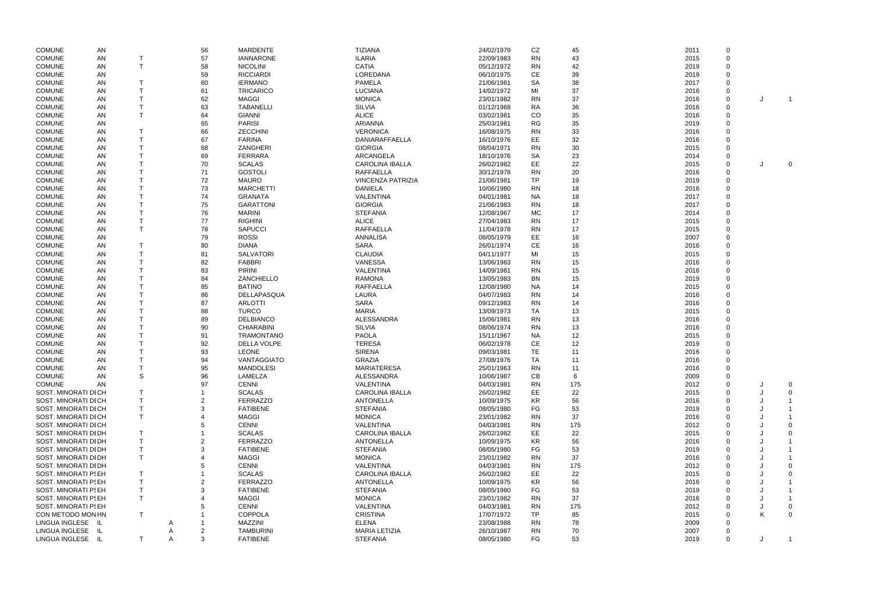| <b>COMUNE</b>              | <b>AN</b> |   | 56 | <b>MARDENTE</b>    | <b>TIZIANA</b>       |                          | 24/02/1979 | CZ        | 45  | 2011 | $\overline{0}$ |                |
|----------------------------|-----------|---|----|--------------------|----------------------|--------------------------|------------|-----------|-----|------|----------------|----------------|
| <b>COMUNE</b>              | AN        |   | 57 | <b>IANNARONE</b>   | <b>ILARIA</b>        |                          | 22/09/1983 | <b>RN</b> | 43  | 2015 | $\overline{0}$ |                |
| <b>COMUNE</b>              | AN        | T | 58 | <b>NICOLINI</b>    | <b>CATIA</b>         |                          | 05/12/1972 | <b>RN</b> | 42  | 2019 | $\Omega$       |                |
| <b>COMUNE</b>              |           |   |    | <b>RICCIARDI</b>   | LOREDANA             |                          | 06/10/1975 | <b>CE</b> |     | 2019 |                |                |
|                            | AN        |   | 59 |                    |                      |                          |            |           | 39  |      |                |                |
| <b>COMUNE</b>              | AN        |   | 60 | <b>IERMANO</b>     | <b>PAMELA</b>        |                          | 21/06/1981 | <b>SA</b> | 38  | 2017 | $\Omega$       |                |
| <b>COMUNE</b>              | AN        |   | 61 | <b>TRICARICO</b>   | <b>LUCIANA</b>       |                          | 14/02/1972 | MI        | 37  | 2016 |                |                |
| <b>COMUNE</b>              | AN        |   | 62 | <b>MAGGI</b>       | <b>MONICA</b>        |                          | 23/01/1982 | <b>RN</b> | 37  | 2016 | $\mathbf 0$    |                |
| <b>COMUNE</b>              | AN        |   | 63 | <b>TABANELLI</b>   | <b>SILVIA</b>        |                          | 01/12/1968 | <b>RA</b> | 36  | 2016 | $\mathbf 0$    |                |
| <b>COMUNE</b>              | AN        | T | 64 | <b>GIANNI</b>      | <b>ALICE</b>         |                          | 03/02/1981 | CO        | 35  | 2016 | $\Omega$       |                |
| <b>COMUNE</b>              | AN        |   | 65 | <b>PARISI</b>      | <b>ARIANNA</b>       |                          | 25/03/1981 | <b>RG</b> | 35  | 2019 | $\Omega$       |                |
| <b>COMUNE</b>              | AN        |   | 66 | <b>ZECCHINI</b>    | <b>VERONICA</b>      |                          | 16/08/1975 | <b>RN</b> | 33  | 2016 |                |                |
| <b>COMUNE</b>              | AN        |   | 67 | <b>FARINA</b>      |                      | DANIARAFFAELLA           | 16/10/1976 | EE.       | 32  | 2016 | $\Omega$       |                |
| <b>COMUNE</b>              | AN        |   | 68 | ZANGHERI           | <b>GIORGIA</b>       |                          | 08/04/1971 | <b>RN</b> | 30  | 2015 | $\Omega$       |                |
| <b>COMUNE</b>              | AN        |   | 69 | FERRARA            | ARCANGELA            |                          | 18/10/1976 | <b>SA</b> | 23  | 2014 | $\Omega$       |                |
| <b>COMUNE</b>              | AN        |   | 70 | <b>SCALAS</b>      |                      | <b>CAROLINA IBALLA</b>   | 26/02/1982 | EE        | 22  | 2015 | $\overline{0}$ | $\overline{0}$ |
| <b>COMUNE</b>              | AN        |   | 71 | <b>GOSTOLI</b>     | <b>RAFFAELLA</b>     |                          | 30/12/1978 | <b>RN</b> | 20  | 2016 | $\overline{0}$ |                |
|                            |           |   |    | <b>MAURO</b>       |                      | <b>VINCENZA PATRIZIA</b> |            | <b>TP</b> |     |      | $\overline{0}$ |                |
| <b>COMUNE</b>              | AN        |   | 72 |                    |                      |                          | 21/06/1981 |           | 19  | 2019 |                |                |
| <b>COMUNE</b>              | AN        |   | 73 | <b>MARCHETTI</b>   | <b>DANIELA</b>       |                          | 10/06/1980 | <b>RN</b> | 18  | 2016 |                |                |
| <b>COMUNE</b>              | AN        |   | 74 | <b>GRANATA</b>     | VALENTINA            |                          | 04/01/1981 | <b>NA</b> | 18  | 2017 |                |                |
| <b>COMUNE</b>              | AN        |   | 75 | <b>GARATTONI</b>   | <b>GIORGIA</b>       |                          | 21/06/1983 | <b>RN</b> | 18  | 2017 |                |                |
| <b>COMUNE</b>              | AN        |   | 76 | <b>MARINI</b>      | <b>STEFANIA</b>      |                          | 12/08/1967 | MC        | 17  | 2014 |                |                |
| <b>COMUNE</b>              | AN        |   | 77 | <b>RIGHINI</b>     | <b>ALICE</b>         |                          | 27/04/1983 | <b>RN</b> | 17  | 2015 |                |                |
| <b>COMUNE</b>              | AN        |   | 78 | <b>SAPUCCI</b>     | <b>RAFFAELLA</b>     |                          | 11/04/1978 | <b>RN</b> | 17  | 2015 |                |                |
| <b>COMUNE</b>              | AN        |   | 79 | <b>ROSSI</b>       | <b>ANNALISA</b>      |                          | 08/05/1979 | EE        | 16  | 2007 |                |                |
| <b>COMUNE</b>              | AN        |   | 80 | <b>DIANA</b>       | <b>SARA</b>          |                          | 26/01/1974 | <b>CE</b> | 16  | 2016 |                |                |
| <b>COMUNE</b>              | AN        |   | 81 | <b>SALVATORI</b>   | <b>CLAUDIA</b>       |                          | 04/11/1977 | MI        | 15  | 2015 | $\Omega$       |                |
| <b>COMUNE</b>              | AN        |   | 82 | <b>FABBRI</b>      | <b>VANESSA</b>       |                          | 13/06/1983 | <b>RN</b> | 15  | 2016 | $\Omega$       |                |
| <b>COMUNE</b>              | AN        |   | 83 | <b>PIRINI</b>      | VALENTINA            |                          | 14/09/1981 | <b>RN</b> |     | 2016 | $\Omega$       |                |
|                            |           |   |    |                    |                      |                          |            |           | 15  |      |                |                |
| <b>COMUNE</b>              | AN        |   | 84 | ZANCHIELLO         | <b>RAMONA</b>        |                          | 13/05/1983 | <b>BN</b> | 15  | 2019 |                |                |
| <b>COMUNE</b>              | AN        |   | 85 | <b>BATINO</b>      | <b>RAFFAELLA</b>     |                          | 12/08/1980 | <b>NA</b> | 14  | 2015 |                |                |
| <b>COMUNE</b>              | AN        |   | 86 | DELLAPASQUA        | <b>LAURA</b>         |                          | 04/07/1983 | <b>RN</b> | 14  | 2016 |                |                |
| <b>COMUNE</b>              | AN        |   | 87 | <b>ARLOTTI</b>     | <b>SARA</b>          |                          | 09/12/1983 | <b>RN</b> | 14  | 2016 |                |                |
| <b>COMUNE</b>              | AN        |   | 88 | <b>TURCO</b>       | <b>MARIA</b>         |                          | 13/09/1973 | TA        | 13  | 2015 |                |                |
| <b>COMUNE</b>              | <b>AN</b> |   | 89 | <b>DELBIANCO</b>   | <b>ALESSANDRA</b>    |                          | 15/06/1981 | <b>RN</b> | 13  | 2016 |                |                |
| <b>COMUNE</b>              | AN        |   | 90 | <b>CHIARABINI</b>  | <b>SILVIA</b>        |                          | 08/06/1974 | <b>RN</b> | 13  | 2016 |                |                |
| <b>COMUNE</b>              | AN        |   | 91 | <b>TRAMONTANO</b>  | <b>PAOLA</b>         |                          | 15/11/1967 | <b>NA</b> | 12  | 2015 | $\Omega$       |                |
| <b>COMUNE</b>              | AN        |   | 92 | <b>DELLA VOLPE</b> | <b>TERESA</b>        |                          | 06/02/1978 | CE        | 12  | 2019 |                |                |
| <b>COMUNE</b>              | AN        |   | 93 | <b>LEONE</b>       | <b>SIRENA</b>        |                          | 09/03/1981 | <b>TE</b> | 11  | 2016 |                |                |
| <b>COMUNE</b>              | AN        |   | 94 | VANTAGGIATO        | <b>GRAZIA</b>        |                          | 27/08/1976 | <b>TA</b> | 11  | 2016 |                |                |
| <b>COMUNE</b>              | AN        |   | 95 | <b>MANDOLESI</b>   | <b>MARIATERESA</b>   |                          | 25/01/1963 | <b>RN</b> | 11  | 2016 |                |                |
|                            |           | S |    |                    |                      |                          |            |           |     |      |                |                |
| <b>COMUNE</b>              | AN        |   | 96 | LAMELZA            | <b>ALESSANDRA</b>    |                          | 10/06/1987 | CВ        |     | 2009 |                |                |
| <b>COMUNE</b>              | AN        |   | 97 | <b>CENNI</b>       | VALENTINA            |                          | 04/03/1981 | <b>RN</b> | 175 | 2012 |                |                |
| SOST. MINORATI DI CH       |           |   |    | <b>SCALAS</b>      |                      | <b>CAROLINA IBALLA</b>   | 26/02/1982 | EE        | 22  | 2015 |                |                |
| SOST. MINORATI DI CH       |           |   |    | <b>FERRAZZO</b>    | <b>ANTONELLA</b>     |                          | 10/09/1975 | KR        | 56  | 2016 |                |                |
| SOST. MINORATI DI CH       |           |   |    | <b>FATIBENE</b>    | <b>STEFANIA</b>      |                          | 08/05/1980 | FG        | 53  | 2019 |                |                |
| SOST. MINORATI DI CH       |           |   |    | <b>MAGGI</b>       | <b>MONICA</b>        |                          | 23/01/1982 | <b>RN</b> | 37  | 2016 |                |                |
| SOST. MINORATI DI CH       |           |   |    | <b>CENNI</b>       | VALENTINA            |                          | 04/03/1981 | <b>RN</b> | 175 | 2012 |                |                |
| SOST. MINORATI DI DH       |           |   |    | <b>SCALAS</b>      |                      | <b>CAROLINA IBALLA</b>   | 26/02/1982 | EE        | 22  | 2015 |                |                |
| SOST. MINORATI DI DH       |           |   |    | FERRAZZO           | <b>ANTONELLA</b>     |                          | 10/09/1975 | <b>KR</b> | 56  | 2016 |                |                |
| SOST. MINORATI DI DH       |           |   |    | <b>FATIBENE</b>    | <b>STEFANIA</b>      |                          | 08/05/1980 | FG        | 53  | 2019 |                |                |
| SOST. MINORATI DI DH       |           |   |    | <b>MAGGI</b>       | <b>MONICA</b>        |                          | 23/01/1982 | <b>RN</b> | 37  | 2016 |                |                |
| SOST. MINORATI DI DH       |           |   |    | <b>CENNI</b>       | VALENTINA            |                          | 04/03/1981 | <b>RN</b> | 175 | 2012 |                |                |
| <b>SOST. MINORATI PSEH</b> |           |   |    | <b>SCALAS</b>      |                      | <b>CAROLINA IBALLA</b>   | 26/02/1982 | EE        | 22  | 2015 |                |                |
| <b>SOST. MINORATI PSEH</b> |           |   |    | FERRAZZO           | <b>ANTONELLA</b>     |                          | 10/09/1975 | <b>KR</b> | 56  | 2016 |                |                |
|                            |           |   |    |                    |                      |                          |            |           |     |      |                |                |
| <b>SOST. MINORATI PSEH</b> |           |   |    | <b>FATIBENE</b>    | <b>STEFANIA</b>      |                          | 08/05/1980 | FG        | 53  | 2019 |                |                |
| <b>SOST. MINORATI PSEH</b> |           |   |    | <b>MAGGI</b>       | <b>MONICA</b>        |                          | 23/01/1982 | <b>RN</b> | 37  | 2016 |                |                |
| <b>SOST. MINORATI PSEH</b> |           |   |    | <b>CENNI</b>       | VALENTINA            |                          | 04/03/1981 | <b>RN</b> | 175 | 2012 |                |                |
| CON METODO MON HN          |           | Т |    | <b>COPPOLA</b>     | <b>CRISTINA</b>      |                          | 17/07/1972 | TP.       | 85  | 2015 |                |                |
| LINGUA INGLESE IL          |           |   |    | <b>MAZZINI</b>     | <b>ELENA</b>         |                          | 23/08/1988 | <b>RN</b> | 78  | 2009 |                |                |
| LINGUA INGLESE             | - IL      |   |    | <b>TAMBURINI</b>   | <b>MARIA LETIZIA</b> |                          | 26/10/1987 | <b>RN</b> | 70  | 2007 |                |                |
| LINGUA INGLESE IL          |           | Τ | 3  | <b>FATIBENE</b>    | <b>STEFANIA</b>      |                          | 08/05/1980 | FG        | 53  | 2019 | $\overline{0}$ |                |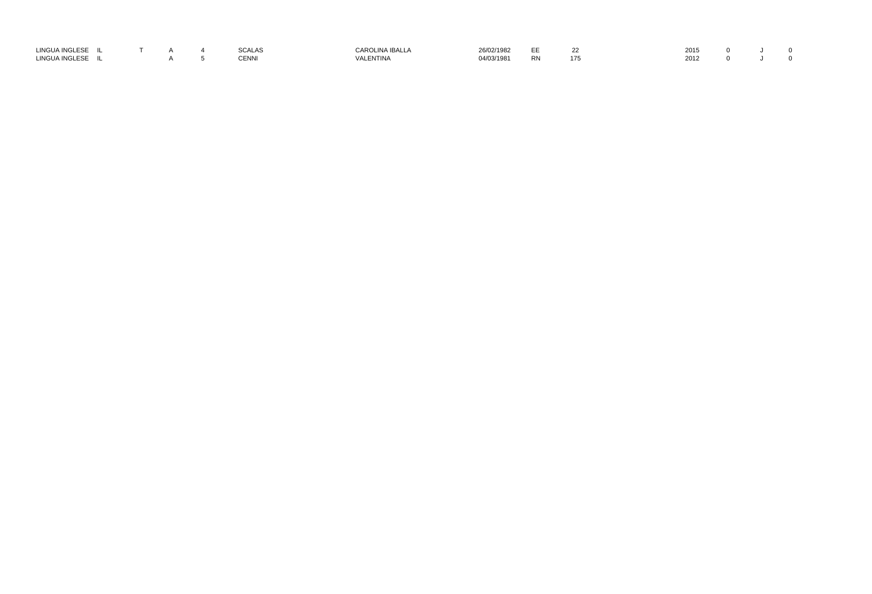| LINGUA INGLESE                   |  |  | 0.011<br>SCALAS | CARO.<br>INA IBALLA            | 26/02/1982 | --<br>ᄕ   | 2015 |
|----------------------------------|--|--|-----------------|--------------------------------|------------|-----------|------|
| <b>LINGUA INGL</b><br><b>ESE</b> |  |  | <b>CENN</b>     | VA'<br><b>ENTINI</b><br>N HINA | 04/03/1981 | <b>RN</b> | 2012 |

| 22  | 2015 0 J |  | $\overline{\mathbf{0}}$    |  |
|-----|----------|--|----------------------------|--|
| 175 | 2012 0 J |  | $\overline{\phantom{0}}$ 0 |  |
|     |          |  |                            |  |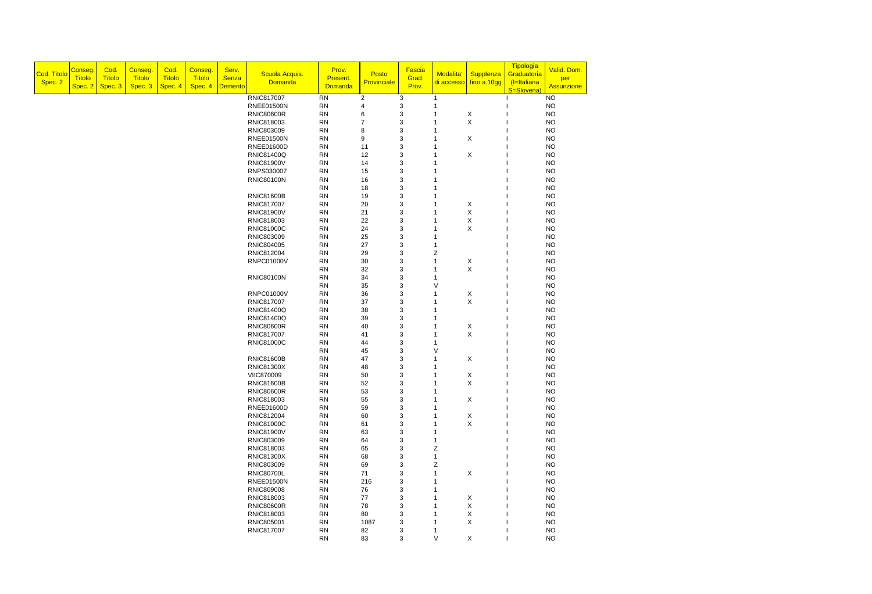| Cod. Titolo<br>Spec. 2 | Conseg.<br><b>Titolo</b><br>Spec. 2 | Cod.<br><b>Titolo</b><br>Spec. 3 | Conseg.<br><b>Titolo</b><br>Spec. 3 | Cod.<br><b>Titolo</b><br>Spec. 4 | Conseg.<br><b>Titolo</b><br>Spec. 4 | Serv.<br>Senza<br><b>Demerito</b> | Scuola Acquis.<br><b>Domanda</b> | Prov.<br>Present.<br><b>Domanda</b> | Posto<br>Provinciale | Fascia<br>Grad.<br>Prov.  | Modalita <sup>®</sup><br>di accesso | Supplenza<br>fino a 10gg  | Tipologia<br>Graduatoria<br>(I=Italiana<br>S=Slovena) | Valid. Dom.<br>per<br><b>Assunzione</b> |
|------------------------|-------------------------------------|----------------------------------|-------------------------------------|----------------------------------|-------------------------------------|-----------------------------------|----------------------------------|-------------------------------------|----------------------|---------------------------|-------------------------------------|---------------------------|-------------------------------------------------------|-----------------------------------------|
|                        |                                     |                                  |                                     |                                  |                                     |                                   | <b>RNIC817007</b>                | <b>RN</b>                           | $\overline{2}$       | 3                         |                                     |                           |                                                       | <b>NO</b>                               |
|                        |                                     |                                  |                                     |                                  |                                     |                                   | <b>RNEE01500N</b>                | <b>RN</b>                           | $\overline{4}$       | 3                         |                                     |                           |                                                       | <b>NO</b>                               |
|                        |                                     |                                  |                                     |                                  |                                     |                                   | <b>RNIC80600R</b>                | RN                                  | 6                    | 3                         |                                     | X                         |                                                       | <b>NO</b>                               |
|                        |                                     |                                  |                                     |                                  |                                     |                                   | RNIC818003                       | RN                                  | $\overline{7}$       | 3                         |                                     | $\mathsf X$               |                                                       | <b>NO</b>                               |
|                        |                                     |                                  |                                     |                                  |                                     |                                   | RNIC803009                       | <b>RN</b>                           | 8                    | 3                         |                                     |                           |                                                       | <b>NO</b>                               |
|                        |                                     |                                  |                                     |                                  |                                     |                                   | <b>RNEE01500N</b>                | <b>RN</b>                           | 9                    | 3                         |                                     | X                         |                                                       | <b>NO</b>                               |
|                        |                                     |                                  |                                     |                                  |                                     |                                   | <b>RNEE01600D</b>                | <b>RN</b>                           | 11                   | 3                         |                                     |                           |                                                       | <b>NO</b>                               |
|                        |                                     |                                  |                                     |                                  |                                     |                                   | <b>RNIC81400Q</b>                | RN                                  | 12                   | 3                         |                                     | $\pmb{\times}$            |                                                       | <b>NO</b>                               |
|                        |                                     |                                  |                                     |                                  |                                     |                                   | <b>RNIC81900V</b>                | RN                                  | 14                   | 3                         |                                     |                           |                                                       | <b>NO</b>                               |
|                        |                                     |                                  |                                     |                                  |                                     |                                   | RNPS030007                       | RN                                  | 15                   | 3                         |                                     |                           |                                                       | <b>NO</b>                               |
|                        |                                     |                                  |                                     |                                  |                                     |                                   | <b>RNIC80100N</b>                | <b>RN</b>                           | 16                   | 3                         |                                     |                           |                                                       | <b>NO</b>                               |
|                        |                                     |                                  |                                     |                                  |                                     |                                   |                                  | <b>RN</b>                           | 18                   | 3                         |                                     |                           |                                                       | <b>NO</b>                               |
|                        |                                     |                                  |                                     |                                  |                                     |                                   | <b>RNIC81600B</b><br>RNIC817007  | <b>RN</b><br><b>RN</b>              | 19<br>20             | 3<br>3                    |                                     | X                         |                                                       | <b>NO</b><br><b>NO</b>                  |
|                        |                                     |                                  |                                     |                                  |                                     |                                   | <b>RNIC81900V</b>                | RN                                  | 21                   | 3                         |                                     | $\sf X$                   |                                                       | <b>NO</b>                               |
|                        |                                     |                                  |                                     |                                  |                                     |                                   | RNIC818003                       | <b>RN</b>                           | 22                   | 3                         |                                     | $\sf X$                   |                                                       | <b>NO</b>                               |
|                        |                                     |                                  |                                     |                                  |                                     |                                   | <b>RNIC81000C</b>                | <b>RN</b>                           | 24                   | 3                         |                                     | $\mathsf X$               |                                                       | <b>NO</b>                               |
|                        |                                     |                                  |                                     |                                  |                                     |                                   | RNIC803009                       | RN                                  | 25                   | 3                         |                                     |                           |                                                       | <b>NO</b>                               |
|                        |                                     |                                  |                                     |                                  |                                     |                                   | RNIC804005                       | RN                                  | 27                   | 3                         |                                     |                           |                                                       | <b>NO</b>                               |
|                        |                                     |                                  |                                     |                                  |                                     |                                   | RNIC812004                       | RN                                  | 29                   | 3                         | Z                                   |                           |                                                       | <b>NO</b>                               |
|                        |                                     |                                  |                                     |                                  |                                     |                                   | <b>RNPC01000V</b>                | <b>RN</b>                           | 30                   | 3                         |                                     | X                         |                                                       | <b>NO</b>                               |
|                        |                                     |                                  |                                     |                                  |                                     |                                   |                                  | <b>RN</b>                           | 32                   | 3                         | 1                                   | $\pmb{\times}$            |                                                       | <b>NO</b>                               |
|                        |                                     |                                  |                                     |                                  |                                     |                                   | <b>RNIC80100N</b>                | <b>RN</b>                           | 34                   | 3                         |                                     |                           |                                                       | <b>NO</b>                               |
|                        |                                     |                                  |                                     |                                  |                                     |                                   |                                  | RN                                  | 35                   | 3                         | V                                   |                           |                                                       | <b>NO</b>                               |
|                        |                                     |                                  |                                     |                                  |                                     |                                   | <b>RNPC01000V</b>                | RN                                  | 36                   | 3                         |                                     | X                         |                                                       | <b>NO</b>                               |
|                        |                                     |                                  |                                     |                                  |                                     |                                   | RNIC817007                       | <b>RN</b>                           | 37                   | 3                         |                                     | $\mathsf X$               |                                                       | <b>NO</b>                               |
|                        |                                     |                                  |                                     |                                  |                                     |                                   | <b>RNIC81400Q</b>                | <b>RN</b>                           | 38                   | 3                         |                                     |                           |                                                       | <b>NO</b>                               |
|                        |                                     |                                  |                                     |                                  |                                     |                                   | <b>RNIC81400Q</b>                | <b>RN</b>                           | 39                   | 3                         |                                     |                           |                                                       | <b>NO</b>                               |
|                        |                                     |                                  |                                     |                                  |                                     |                                   | <b>RNIC80600R</b>                | <b>RN</b>                           | 40                   | 3                         |                                     | X                         |                                                       | <b>NO</b>                               |
|                        |                                     |                                  |                                     |                                  |                                     |                                   | <b>RNIC817007</b>                | <b>RN</b>                           | 41                   | 3                         |                                     | $\sf X$                   |                                                       | <b>NO</b>                               |
|                        |                                     |                                  |                                     |                                  |                                     |                                   | <b>RNIC81000C</b>                | <b>RN</b>                           | 44                   | 3                         |                                     |                           |                                                       | <b>NO</b>                               |
|                        |                                     |                                  |                                     |                                  |                                     |                                   |                                  | <b>RN</b>                           | 45                   | $\sqrt{3}$                | V                                   |                           |                                                       | <b>NO</b>                               |
|                        |                                     |                                  |                                     |                                  |                                     |                                   | <b>RNIC81600B</b>                | <b>RN</b>                           | 47                   | 3                         |                                     | X                         |                                                       | <b>NO</b>                               |
|                        |                                     |                                  |                                     |                                  |                                     |                                   | <b>RNIC81300X</b>                | <b>RN</b>                           | 48                   | 3                         |                                     |                           |                                                       | <b>NO</b>                               |
|                        |                                     |                                  |                                     |                                  |                                     |                                   | <b>VIIC870009</b>                | <b>RN</b>                           | 50                   | 3                         |                                     | X                         |                                                       | <b>NO</b>                               |
|                        |                                     |                                  |                                     |                                  |                                     |                                   | <b>RNIC81600B</b>                | <b>RN</b>                           | 52                   | 3                         |                                     | X                         |                                                       | <b>NO</b>                               |
|                        |                                     |                                  |                                     |                                  |                                     |                                   | <b>RNIC80600R</b><br>RNIC818003  | <b>RN</b><br><b>RN</b>              | 53<br>55             | 3<br>3                    |                                     | X                         |                                                       | <b>NO</b><br><b>NO</b>                  |
|                        |                                     |                                  |                                     |                                  |                                     |                                   | <b>RNEE01600D</b>                | <b>RN</b>                           | 59                   | 3                         |                                     |                           |                                                       | <b>NO</b>                               |
|                        |                                     |                                  |                                     |                                  |                                     |                                   | RNIC812004                       | RN                                  | 60                   | 3                         |                                     | X                         |                                                       | <b>NO</b>                               |
|                        |                                     |                                  |                                     |                                  |                                     |                                   | <b>RNIC81000C</b>                | <b>RN</b>                           | 61                   | 3                         |                                     | $\pmb{\times}$            |                                                       | <b>NO</b>                               |
|                        |                                     |                                  |                                     |                                  |                                     |                                   | <b>RNIC81900V</b>                | <b>RN</b>                           | 63                   | 3                         |                                     |                           |                                                       | <b>NO</b>                               |
|                        |                                     |                                  |                                     |                                  |                                     |                                   | RNIC803009                       | <b>RN</b>                           | 64                   | $\ensuremath{\mathsf{3}}$ |                                     |                           |                                                       | <b>NO</b>                               |
|                        |                                     |                                  |                                     |                                  |                                     |                                   | RNIC818003                       | <b>RN</b>                           | 65                   | 3                         | Z                                   |                           |                                                       | <b>NO</b>                               |
|                        |                                     |                                  |                                     |                                  |                                     |                                   | <b>RNIC81300X</b>                | <b>RN</b>                           | 68                   | 3                         |                                     |                           |                                                       | <b>NO</b>                               |
|                        |                                     |                                  |                                     |                                  |                                     |                                   | RNIC803009                       | <b>RN</b>                           | 69                   | 3                         | Ζ                                   |                           |                                                       | <b>NO</b>                               |
|                        |                                     |                                  |                                     |                                  |                                     |                                   | <b>RNIC80700L</b>                | <b>RN</b>                           | 71                   | 3                         | $\overline{1}$                      | $\mathsf X$               |                                                       | <b>NO</b>                               |
|                        |                                     |                                  |                                     |                                  |                                     |                                   | <b>RNEE01500N</b>                | <b>RN</b>                           | 216                  | 3                         | 1                                   |                           |                                                       | <b>NO</b>                               |
|                        |                                     |                                  |                                     |                                  |                                     |                                   | RNIC809008                       | <b>RN</b>                           | 76                   | 3                         |                                     |                           |                                                       | <b>NO</b>                               |
|                        |                                     |                                  |                                     |                                  |                                     |                                   | RNIC818003                       | <b>RN</b>                           | 77                   | 3                         |                                     | X                         |                                                       | <b>NO</b>                               |
|                        |                                     |                                  |                                     |                                  |                                     |                                   | <b>RNIC80600R</b>                | <b>RN</b>                           | 78                   | 3                         |                                     | X                         |                                                       | <b>NO</b>                               |
|                        |                                     |                                  |                                     |                                  |                                     |                                   | RNIC818003                       | <b>RN</b>                           | 80                   | 3                         |                                     | $\pmb{\times}$            |                                                       | <b>NO</b>                               |
|                        |                                     |                                  |                                     |                                  |                                     |                                   | RNIC805001                       | <b>RN</b>                           | 1087                 | 3                         |                                     | $\boldsymbol{\mathsf{X}}$ |                                                       | <b>NO</b>                               |
|                        |                                     |                                  |                                     |                                  |                                     |                                   | RNIC817007                       | RN                                  | 82                   | 3                         |                                     |                           |                                                       | <b>NO</b>                               |
|                        |                                     |                                  |                                     |                                  |                                     |                                   |                                  | RN                                  | 83                   | 3                         | $\vee$                              | X                         |                                                       | <b>NO</b>                               |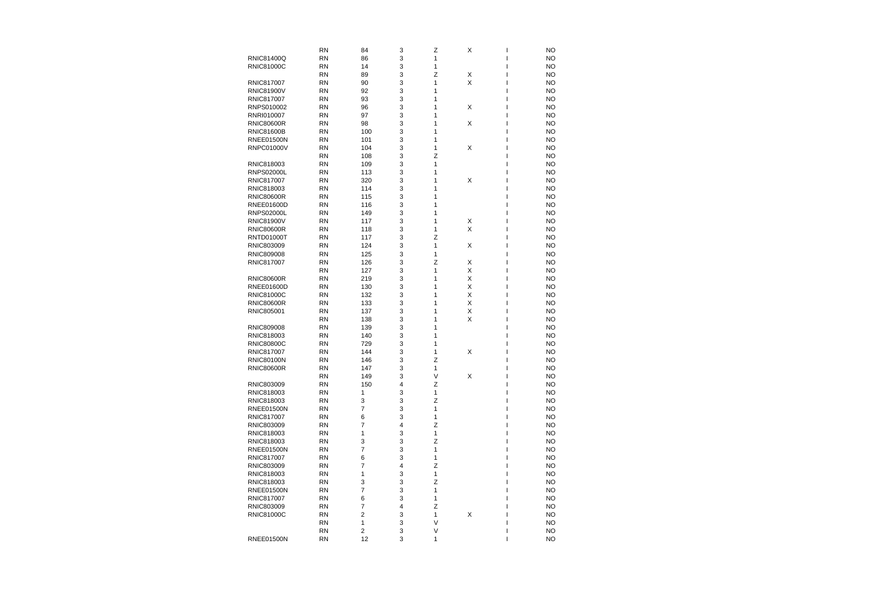|                   | <b>RN</b> | 84                      | 3 | Z      | X           | <b>NO</b> |
|-------------------|-----------|-------------------------|---|--------|-------------|-----------|
| <b>RNIC81400Q</b> | <b>RN</b> | 86                      | 3 | 1      |             | <b>NO</b> |
| <b>RNIC81000C</b> | <b>RN</b> | 14                      | 3 | 1      |             | <b>NO</b> |
|                   | <b>RN</b> | 89                      | 3 | Z      | Χ           | <b>NO</b> |
| <b>RNIC817007</b> | <b>RN</b> | 90                      | 3 | 1      | Χ           | <b>NO</b> |
| <b>RNIC81900V</b> | <b>RN</b> | 92                      | 3 | 1      |             | <b>NO</b> |
| <b>RNIC817007</b> | <b>RN</b> | 93                      | 3 | 1      |             | <b>NO</b> |
| RNPS010002        | <b>RN</b> | 96                      | 3 | 1      | Χ           | <b>NO</b> |
| RNRI010007        | <b>RN</b> | 97                      | 3 | 1      |             | <b>NO</b> |
| <b>RNIC80600R</b> | <b>RN</b> | 98                      | 3 | 1      | X           | <b>NO</b> |
| <b>RNIC81600B</b> | <b>RN</b> | 100                     | 3 | 1      |             | <b>NO</b> |
| <b>RNEE01500N</b> | <b>RN</b> | 101                     | 3 | 1      |             | <b>NO</b> |
| <b>RNPC01000V</b> | <b>RN</b> | 104                     | 3 | 1      | Χ           | <b>NO</b> |
|                   | <b>RN</b> | 108                     | 3 | Z      |             | <b>NO</b> |
| RNIC818003        | <b>RN</b> | 109                     | 3 | 1      |             | <b>NO</b> |
| <b>RNPS02000L</b> | <b>RN</b> | 113                     | 3 | 1      |             | <b>NO</b> |
| RNIC817007        | <b>RN</b> | 320                     | 3 | 1      | $\mathsf X$ | <b>NO</b> |
| RNIC818003        | <b>RN</b> | 114                     | 3 | 1      |             | <b>NO</b> |
| <b>RNIC80600R</b> | <b>RN</b> | 115                     | 3 |        |             | <b>NO</b> |
| <b>RNEE01600D</b> | <b>RN</b> | 116                     | 3 | 1      |             | <b>NO</b> |
| <b>RNPS02000L</b> | <b>RN</b> |                         |   | 1      |             |           |
|                   |           | 149                     | 3 | 1      |             | <b>NO</b> |
| <b>RNIC81900V</b> | <b>RN</b> | 117                     | 3 | 1      | X           | <b>NO</b> |
| <b>RNIC80600R</b> | <b>RN</b> | 118                     | 3 | 1      | Χ           | <b>NO</b> |
| <b>RNTD01000T</b> | <b>RN</b> | 117                     | 3 | Z      |             | <b>NO</b> |
| RNIC803009        | <b>RN</b> | 124                     | 3 | 1      | Χ           | <b>NO</b> |
| RNIC809008        | <b>RN</b> | 125                     | 3 | 1      |             | <b>NO</b> |
| RNIC817007        | <b>RN</b> | 126                     | 3 | Z      | Χ           | <b>NO</b> |
|                   | <b>RN</b> | 127                     | 3 | 1      | X           | <b>NO</b> |
| <b>RNIC80600R</b> | <b>RN</b> | 219                     | 3 | 1      | Χ           | <b>NO</b> |
| <b>RNEE01600D</b> | <b>RN</b> | 130                     | 3 | 1      | X           | <b>NO</b> |
| <b>RNIC81000C</b> | <b>RN</b> | 132                     | 3 | 1      | Χ           | <b>NO</b> |
| <b>RNIC80600R</b> | <b>RN</b> | 133                     | 3 | 1      | X           | <b>NO</b> |
| RNIC805001        | <b>RN</b> | 137                     | 3 | 1      | Χ           | <b>NO</b> |
|                   | <b>RN</b> | 138                     | 3 | 1      | Χ           | <b>NO</b> |
| <b>RNIC809008</b> | <b>RN</b> | 139                     | 3 | 1      |             | <b>NO</b> |
| RNIC818003        | <b>RN</b> | 140                     | 3 | 1      |             | <b>NO</b> |
| <b>RNIC80800C</b> | <b>RN</b> | 729                     | 3 |        |             | <b>NO</b> |
| <b>RNIC817007</b> | <b>RN</b> | 144                     | 3 | 1      | $\mathsf X$ | <b>NO</b> |
| <b>RNIC80100N</b> | <b>RN</b> | 146                     | 3 | Z      |             | <b>NO</b> |
| <b>RNIC80600R</b> | <b>RN</b> | 147                     | 3 | 1      |             | <b>NO</b> |
|                   | <b>RN</b> | 149                     | 3 | V      | Χ           | <b>NO</b> |
| RNIC803009        | <b>RN</b> | 150                     | 4 | Ζ      |             | <b>NO</b> |
| RNIC818003        | <b>RN</b> | 1                       | 3 | 1      |             | <b>NO</b> |
| RNIC818003        | <b>RN</b> | 3                       | 3 | Z      |             | <b>NO</b> |
| <b>RNEE01500N</b> | <b>RN</b> | 7                       | 3 | 1      |             | <b>NO</b> |
| RNIC817007        | <b>RN</b> | 6                       | 3 | 1      |             | <b>NO</b> |
| RNIC803009        | <b>RN</b> | 7                       | 4 | Z      |             | <b>NO</b> |
| RNIC818003        | <b>RN</b> |                         | 3 | 1      |             | <b>NO</b> |
| RNIC818003        | <b>RN</b> | 3                       | 3 | Ζ      |             | <b>NO</b> |
| <b>RNEE01500N</b> | <b>RN</b> | 7                       | 3 | 1      |             | <b>NO</b> |
| <b>RNIC817007</b> | <b>RN</b> | 6                       | 3 | 1      |             | <b>NO</b> |
| RNIC803009        | <b>RN</b> | 7                       | 4 | Z      |             | <b>NO</b> |
| RNIC818003        | <b>RN</b> | 1                       | 3 | 1      |             | <b>NO</b> |
| RNIC818003        | <b>RN</b> | 3                       | 3 | Z      |             | <b>NO</b> |
| <b>RNEE01500N</b> | <b>RN</b> | 7                       | 3 | 1      |             | <b>NO</b> |
| <b>RNIC817007</b> | <b>RN</b> | 6                       | 3 | 1      |             | <b>NO</b> |
| RNIC803009        | <b>RN</b> | 7                       | 4 | Z      |             | <b>NO</b> |
| <b>RNIC81000C</b> | <b>RN</b> | 2                       | 3 | 1      | X           | <b>NO</b> |
|                   | <b>RN</b> | 1                       | 3 | $\vee$ |             | <b>NO</b> |
|                   | <b>RN</b> | $\overline{\mathbf{c}}$ | 3 | V      |             | <b>NO</b> |
| <b>RNEE01500N</b> | <b>RN</b> | 12                      | 3 | 1      |             | <b>NO</b> |
|                   |           |                         |   |        |             |           |